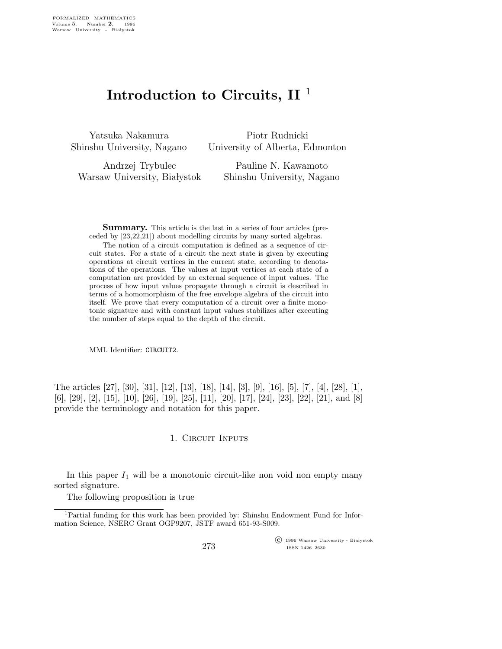## Introduction to Circuits,  $II<sup>1</sup>$

Yatsuka Nakamura Shinshu University, Nagano

Piotr Rudnicki University of Alberta, Edmonton

Andrzej Trybulec Warsaw University, Białystok

Pauline N. Kawamoto Shinshu University, Nagano

Summary. This article is the last in a series of four articles (preceded by [23,22,21]) about modelling circuits by many sorted algebras.

The notion of a circuit computation is defined as a sequence of circuit states. For a state of a circuit the next state is given by executing operations at circuit vertices in the current state, according to denotations of the operations. The values at input vertices at each state of a computation are provided by an external sequence of input values. The process of how input values propagate through a circuit is described in terms of a homomorphism of the free envelope algebra of the circuit into itself. We prove that every computation of a circuit over a finite monotonic signature and with constant input values stabilizes after executing the number of steps equal to the depth of the circuit.

MML Identifier: CIRCUIT2.

The articles [27], [30], [31], [12], [13], [18], [14], [3], [9], [16], [5], [7], [4], [28], [1], [6], [29], [2], [15], [10], [26], [19], [25], [11], [20], [17], [24], [23], [22], [21], and [8] provide the terminology and notation for this paper.

## 1. CIRCUIT INPUTS

In this paper  $I_1$  will be a monotonic circuit-like non void non empty many sorted signature.

The following proposition is true

 $\overline{\text{C}}$  1996 Warsaw University - Białystok ISSN 1426–2630

<sup>&</sup>lt;sup>1</sup>Partial funding for this work has been provided by: Shinshu Endowment Fund for Information Science, NSERC Grant OGP9207, JSTF award 651-93-S009.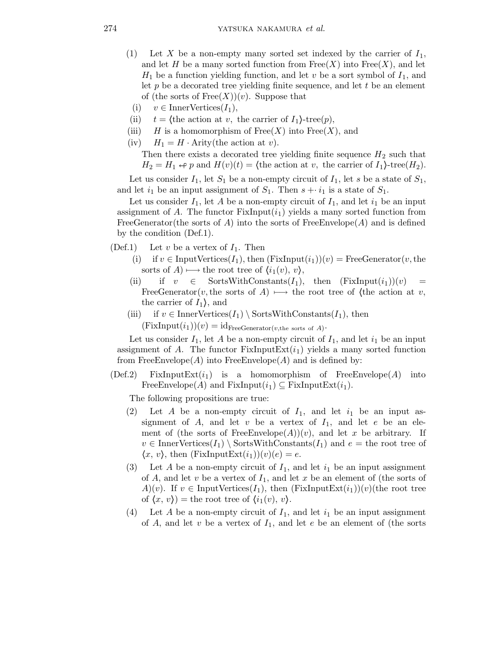- (1) Let X be a non-empty many sorted set indexed by the carrier of  $I_1$ , and let H be a many sorted function from  $Free(X)$  into  $Free(X)$ , and let  $H_1$  be a function yielding function, and let v be a sort symbol of  $I_1$ , and let  $p$  be a decorated tree yielding finite sequence, and let  $t$  be an element of (the sorts of  $Free(X))(v)$ ). Suppose that
- (i)  $v \in \text{InnerVertices}(I_1),$
- (ii)  $t = \langle \text{the action at } v, \text{ the carrier of } I_1 \rangle \text{-tree}(p),$
- (iii) H is a homomorphism of  $Free(X)$  into  $Free(X)$ , and
- (iv)  $H_1 = H \cdot$  Arity(the action at v).

Then there exists a decorated tree yielding finite sequence  $H_2$  such that  $H_2 = H_1 \leftrightarrow p$  and  $H(v)(t) = \text{the action at } v$ , the carrier of  $I_1$ }-tree( $H_2$ ).

Let us consider  $I_1$ , let  $S_1$  be a non-empty circuit of  $I_1$ , let s be a state of  $S_1$ , and let  $i_1$  be an input assignment of  $S_1$ . Then  $s + i_1$  is a state of  $S_1$ .

Let us consider  $I_1$ , let A be a non-empty circuit of  $I_1$ , and let  $i_1$  be an input assignment of A. The functor  $FixInput(i_1)$  yields a many sorted function from FreeGenerator(the sorts of A) into the sorts of FreeEnvelope(A) and is defined by the condition (Def.1).

- (Def.1) Let  $v$  be a vertex of  $I_1$ . Then
	- (i) if  $v \in \text{InputVertices}(I_1)$ , then  $(\text{FixInput}(i_1))(v) = \text{FreeGenerator}(v, \text{the}$ sorts of  $A$ )  $\longmapsto$  the root tree of  $\langle i_1(v), v \rangle$ ,
	- (ii) if  $v \in$  SortsWithConstants $(I_1)$ , then  $(FixInput(i_1))(v)$ FreeGenerator(v, the sorts of A)  $\longmapsto$  the root tree of (the action at v, the carrier of  $I_1$ , and
	- (iii) if  $v \in \text{InnerVertices}(I_1) \setminus \text{SortsWithConstants}(I_1)$ , then  $(FixInput(i_1))(v) = id_{FreeGenerator(v, the sorts of A)}$ .

Let us consider  $I_1$ , let A be a non-empty circuit of  $I_1$ , and let  $i_1$  be an input assignment of A. The functor  $FixInputExt(i_1)$  yields a many sorted function from FreeEnvelope( $A$ ) into FreeEnvelope( $A$ ) and is defined by:

(Def.2) FixInputExt $(i_1)$  is a homomorphism of FreeEnvelope(A) into FreeEnvelope(A) and FixInput( $i_1$ )  $\subseteq$  FixInputExt( $i_1$ ).

The following propositions are true:

- (2) Let A be a non-empty circuit of  $I_1$ , and let  $i_1$  be an input assignment of  $A$ , and let  $v$  be a vertex of  $I_1$ , and let  $e$  be an element of (the sorts of FreeEnvelope(A))(v), and let x be arbitrary. If  $v \in \text{InnerVertices}(I_1) \setminus \text{SortsWithConstants}(I_1)$  and  $e =$  the root tree of  $\langle x, v \rangle$ , then (FixInputExt $(i_1)(v)(e) = e$ .
- (3) Let A be a non-empty circuit of  $I_1$ , and let  $i_1$  be an input assignment of A, and let v be a vertex of  $I_1$ , and let x be an element of (the sorts of A)(v). If  $v \in \text{InputVertices}(I_1)$ , then  $(\text{FixInputExt}(i_1))(v)$ (the root tree of  $\langle x, v \rangle$  = the root tree of  $\langle i_1(v), v \rangle$ .
- (4) Let A be a non-empty circuit of  $I_1$ , and let  $i_1$  be an input assignment of A, and let v be a vertex of  $I_1$ , and let e be an element of (the sorts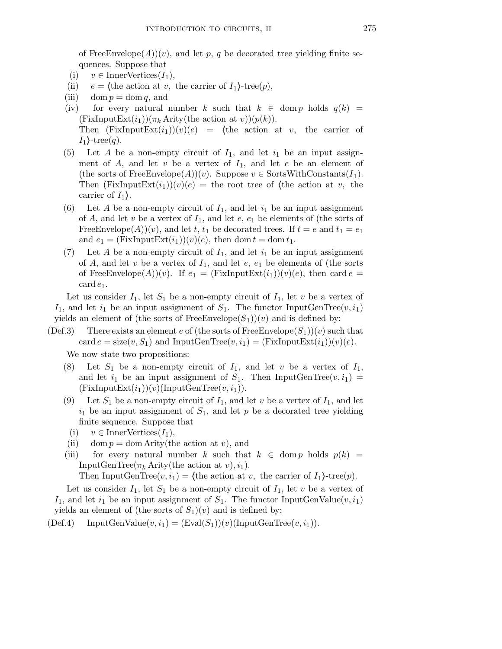of FreeEnvelope(A))(v), and let p, q be decorated tree yielding finite sequences. Suppose that

- (i)  $v \in \text{InnerVertices}(I_1),$
- (ii)  $e = \langle \text{the action at } v, \text{ the carrier of } I_1 \rangle \text{-tree}(p),$
- (iii) dom  $p = \text{dom } q$ , and
- (iv) for every natural number k such that  $k \in \text{dom } p$  holds  $q(k) =$  $(FixInputExt(i_1))(\pi_k$  Arity(the action at v)) $(p(k))$ . Then  $(FixInputExt(i_1))(v)(e) =$  (the action at v, the carrier of  $I_1$ -tree $(q)$ .
- (5) Let A be a non-empty circuit of  $I_1$ , and let  $i_1$  be an input assignment of  $A$ , and let  $v$  be a vertex of  $I_1$ , and let  $e$  be an element of (the sorts of FreeEnvelope(A))(v). Suppose  $v \in$  SortsWithConstants( $I_1$ ). Then  $(FixInputExt(i_1))(v)(e)$  = the root tree of (the action at v, the carrier of  $I_1$ .
- (6) Let A be a non-empty circuit of  $I_1$ , and let  $i_1$  be an input assignment of A, and let v be a vertex of  $I_1$ , and let e,  $e_1$  be elements of (the sorts of FreeEnvelope(A))(v), and let t, t<sub>1</sub> be decorated trees. If  $t = e$  and  $t_1 = e_1$ and  $e_1 = (FixInputExt(i_1))(v)(e)$ , then dom  $t = dom t_1$ .
- (7) Let A be a non-empty circuit of  $I_1$ , and let  $i_1$  be an input assignment of A, and let v be a vertex of  $I_1$ , and let  $e$ ,  $e_1$  be elements of (the sorts of FreeEnvelope(A))(v). If  $e_1 = (FixInputExt(i_1))(v)(e)$ , then card  $e =$  $\operatorname{card} e_1$ .

Let us consider  $I_1$ , let  $S_1$  be a non-empty circuit of  $I_1$ , let v be a vertex of  $I_1$ , and let  $i_1$  be an input assignment of  $S_1$ . The functor InputGenTree( $v, i_1$ ) yields an element of (the sorts of FreeEnvelope $(S_1)(v)$  and is defined by:

(Def.3) There exists an element e of (the sorts of FreeEnvelope( $S_1$ ))(v) such that card  $e = \text{size}(v, S_1)$  and InputGenTree $(v, i_1) = (\text{FixInputExt}(i_1))(v)(e)$ .

We now state two propositions:

- Let  $S_1$  be a non-empty circuit of  $I_1$ , and let v be a vertex of  $I_1$ , and let  $i_1$  be an input assignment of  $S_1$ . Then InputGenTree $(v, i_1)$  =  $(FixInputExt(i_1))(v)(InputGenTree(v, i_1)).$
- (9) Let  $S_1$  be a non-empty circuit of  $I_1$ , and let v be a vertex of  $I_1$ , and let  $i_1$  be an input assignment of  $S_1$ , and let p be a decorated tree yielding finite sequence. Suppose that
	- (i)  $v \in \text{InnerVertices}(I_1),$
- (ii) dom  $p =$  dom Arity(the action at v), and
- (iii) for every natural number k such that  $k \in \text{dom } p$  holds  $p(k) =$ InputGenTree( $\pi_k$  Arity(the action at v),  $i_1$ ).

Then InputGenTree $(v, i_1)$  = (the action at v, the carrier of  $I_1$ )-tree(p).

Let us consider  $I_1$ , let  $S_1$  be a non-empty circuit of  $I_1$ , let v be a vertex of  $I_1$ , and let  $i_1$  be an input assignment of  $S_1$ . The functor InputGenValue $(v, i_1)$ yields an element of (the sorts of  $S_1$ )(v) and is defined by:

 $(Def.4)$  InputGenValue $(v, i_1) = (Eval(S_1))(v)$ (InputGenTree $(v, i_1)$ ).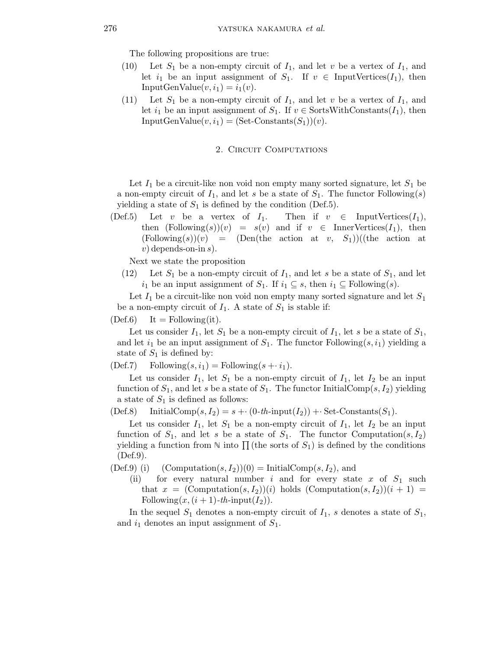The following propositions are true:

- (10) Let  $S_1$  be a non-empty circuit of  $I_1$ , and let v be a vertex of  $I_1$ , and let  $i_1$  be an input assignment of  $S_1$ . If  $v \in \text{InputVertices}(I_1)$ , then InputGenValue $(v, i_1) = i_1(v)$ .
- (11) Let  $S_1$  be a non-empty circuit of  $I_1$ , and let v be a vertex of  $I_1$ , and let  $i_1$  be an input assignment of  $S_1$ . If  $v \in$  SortsWithConstants $(I_1)$ , then  $InputGenValue(v, i_1) = (Set-Constraints(S_1))(v).$

## 2. CIRCUIT COMPUTATIONS

Let  $I_1$  be a circuit-like non void non empty many sorted signature, let  $S_1$  be a non-empty circuit of  $I_1$ , and let s be a state of  $S_1$ . The functor Following(s) yielding a state of  $S_1$  is defined by the condition (Def.5).

(Def.5) Let v be a vertex of  $I_1$ . Then if  $v \in \text{InputVertices}(I_1)$ , then  $(Following(s))(v) = s(v)$  and if  $v \in \text{InnerVertices}(I_1)$ , then  $(Following(s))(v) = (Den(the action at v, S<sub>1</sub>))((the action at v, S<sub>2</sub>))$  $v)$  depends-on-in s).

Next we state the proposition

 $(12)$  Let  $S_1$  be a non-empty circuit of  $I_1$ , and let s be a state of  $S_1$ , and let  $i_1$  be an input assignment of  $S_1$ . If  $i_1 \subseteq s$ , then  $i_1 \subseteq \text{Following}(s)$ .

Let  $I_1$  be a circuit-like non void non empty many sorted signature and let  $S_1$ be a non-empty circuit of  $I_1$ . A state of  $S_1$  is stable if:

 $(Def.6)$  It = Following(it).

Let us consider  $I_1$ , let  $S_1$  be a non-empty circuit of  $I_1$ , let s be a state of  $S_1$ , and let  $i_1$  be an input assignment of  $S_1$ . The functor Following $(s, i_1)$  yielding a state of  $S_1$  is defined by:

(Def.7) Following $(s, i_1)$  = Following $(s + i_1)$ .

Let us consider  $I_1$ , let  $S_1$  be a non-empty circuit of  $I_1$ , let  $I_2$  be an input function of  $S_1$ , and let s be a state of  $S_1$ . The functor InitialComp(s,  $I_2$ ) yielding a state of  $S_1$  is defined as follows:

 $(Def.8)$  InitialComp $(s, I_2) = s + (0-th\text{-input}(I_2)) + \text{Set-Constants}(S_1).$ 

Let us consider  $I_1$ , let  $S_1$  be a non-empty circuit of  $I_1$ , let  $I_2$  be an input function of  $S_1$ , and let s be a state of  $S_1$ . The functor Computation $(s, I_2)$ yielding a function from  $\mathbb N$  into  $\prod$  (the sorts of  $S_1$ ) is defined by the conditions (Def.9).

- (Def.9) (i) (Computation $(s, I_2)(0) = \text{InitialComp}(s, I_2)$ , and
	- (ii) for every natural number i and for every state x of  $S_1$  such that  $x = (Computation(s, I_2))$  (i) holds  $(Computation(s, I_2))$  (i + 1) = Following $(x,(i + 1)$ -th-input $(I_2))$ .

In the sequel  $S_1$  denotes a non-empty circuit of  $I_1$ , s denotes a state of  $S_1$ , and  $i_1$  denotes an input assignment of  $S_1$ .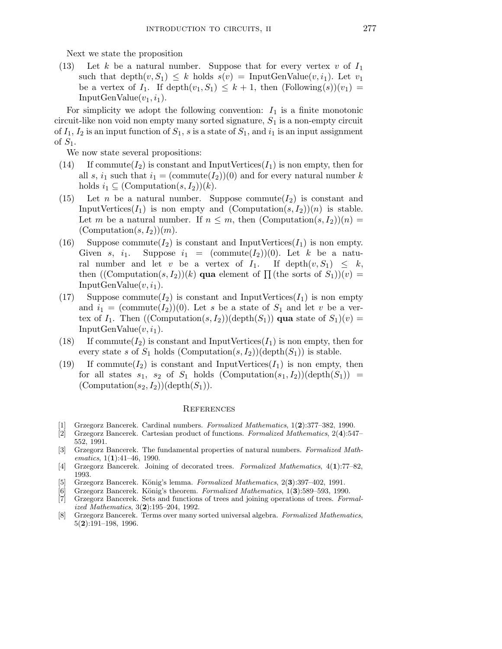Next we state the proposition

(13) Let k be a natural number. Suppose that for every vertex v of  $I_1$ such that depth $(v, S_1) \leq k$  holds  $s(v) = \text{InputGenValue}(v, i_1)$ . Let  $v_1$ be a vertex of  $I_1$ . If depth $(v_1, S_1) \leq k+1$ , then  $(Following(s))(v_1)$ InputGenValue $(v_1, i_1)$ .

For simplicity we adopt the following convention:  $I_1$  is a finite monotonic circuit-like non void non empty many sorted signature,  $S_1$  is a non-empty circuit of  $I_1$ ,  $I_2$  is an input function of  $S_1$ , s is a state of  $S_1$ , and  $i_1$  is an input assignment of  $S_1$ .

We now state several propositions:

- (14) If commute  $(I_2)$  is constant and InputVertices  $(I_1)$  is non empty, then for all s,  $i_1$  such that  $i_1 = (commute(I_2))(0)$  and for every natural number k holds  $i_1 \subseteq (\text{Computation}(s, I_2))(k)$ .
- (15) Let *n* be a natural number. Suppose commute  $(I_2)$  is constant and InputVertices( $I_1$ ) is non empty and (Computation(s,  $I_2$ ))(n) is stable. Let m be a natural number. If  $n \leq m$ , then  $(Computation(s, I_2))(n) =$  $(Computation(s, I_2))(m).$
- (16) Suppose commute( $I_2$ ) is constant and InputVertices( $I_1$ ) is non empty. Given s,  $i_1$ . Suppose  $i_1 = (\text{commute}(I_2))(0)$ . Let k be a natural number and let v be a vertex of  $I_1$ . If depth $(v, S_1) \leq k$ , then  $((\text{Computation}(s, I_2))(k)$  qua element of  $\prod (\text{the sorts of } S_1)(v) =$  $InputGenValue(v, i_1).$
- (17) Suppose commute( $I_2$ ) is constant and InputVertices( $I_1$ ) is non empty and  $i_1 = (\text{commute}(I_2))(0)$ . Let s be a state of  $S_1$  and let v be a vertex of  $I_1$ . Then  $((\text{Computation}(s, I_2))(\text{depth}(S_1))$  qua state of  $S_1)(v)$  = InputGenValue $(v, i_1)$ .
- (18) If commute  $(I_2)$  is constant and InputVertices  $(I_1)$  is non empty, then for every state s of  $S_1$  holds (Computation(s,  $I_2$ ))(depth( $S_1$ )) is stable.
- (19) If commute( $I_2$ ) is constant and InputVertices( $I_1$ ) is non empty, then for all states  $s_1$ ,  $s_2$  of  $S_1$  holds  $(Computation(s_1, I_2))$  $(depth(S_1))$  =  $(Computation(s_2, I_2))$ (depth $(S_1)$ ).

## **REFERENCES**

- [1] Grzegorz Bancerek. Cardinal numbers. Formalized Mathematics, 1(2):377–382, 1990.
- [2] Grzegorz Bancerek. Cartesian product of functions. Formalized Mathematics, 2(4):547– 552, 1991.
- [3] Grzegorz Bancerek. The fundamental properties of natural numbers. Formalized Mathematics,  $1(1):41-46$ , 1990.
- [4] Grzegorz Bancerek. Joining of decorated trees. Formalized Mathematics, 4(1):77–82, 1993.
- [5] Grzegorz Bancerek. König's lemma. Formalized Mathematics,  $2(3):397-402$ , 1991.
- Grzegorz Bancerek. König's theorem. Formalized Mathematics, 1(3):589–593, 1990.
- [7] Grzegorz Bancerek. Sets and functions of trees and joining operations of trees. Formalized Mathematics, 3(2):195–204, 1992.
- [8] Grzegorz Bancerek. Terms over many sorted universal algebra. Formalized Mathematics, 5(2):191–198, 1996.